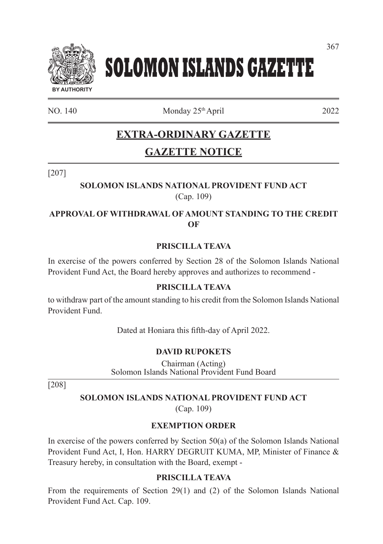

# **SOLOMON ISLANDS GAZETTE**

 $NO. 140$  Monday  $25<sup>th</sup>$  April 2022

# **EXTRA-ORDINARY GAZETTE**

## **GAZETTE NOTICE**

[207]

## **SOLOMON ISLANDS NATIONAL PROVIDENT FUND ACT**  (Cap. 109)

## **APPROVAL OF WITHDRAWAL OF AMOUNT STANDING TO THE CREDIT OF**

## **PRISCILLA TEAVA**

In exercise of the powers conferred by Section 28 of the Solomon Islands National Provident Fund Act, the Board hereby approves and authorizes to recommend -

## **PRISCILLA TEAVA**

to withdraw part of the amount standing to his credit from the Solomon Islands National Provident Fund.

Dated at Honiara this fifth-day of April 2022.

## **DAVID RUPOKETS**

Chairman (Acting) Solomon Islands National Provident Fund Board

[208]

## **SOLOMON ISLANDS NATIONAL PROVIDENT FUND ACT**

(Cap. 109)

## **EXEMPTION ORDER**

In exercise of the powers conferred by Section 50(a) of the Solomon Islands National Provident Fund Act, I, Hon. HARRY DEGRUIT KUMA, MP, Minister of Finance & Treasury hereby, in consultation with the Board, exempt -

## **PRISCILLA TEAVA**

From the requirements of Section 29(1) and (2) of the Solomon Islands National Provident Fund Act. Cap. 109.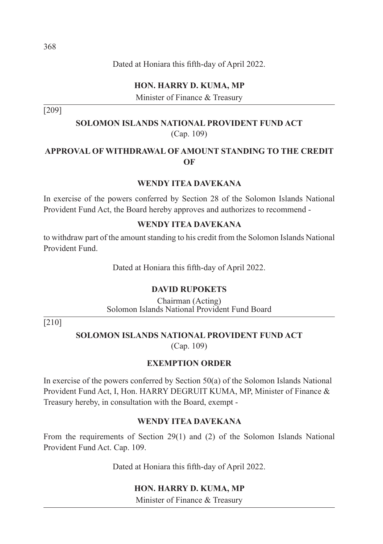## **HON. HARRY D. KUMA, MP**

Minister of Finance & Treasury

[209]

## **SOLOMON ISLANDS NATIONAL PROVIDENT FUND ACT**  (Cap. 109)

## **APPROVAL OF WITHDRAWAL OF AMOUNT STANDING TO THE CREDIT OF**

#### **WENDY ITEA DAVEKANA**

In exercise of the powers conferred by Section 28 of the Solomon Islands National Provident Fund Act, the Board hereby approves and authorizes to recommend -

#### **WENDY ITEA DAVEKANA**

to withdraw part of the amount standing to his credit from the Solomon Islands National Provident Fund.

Dated at Honiara this fifth-day of April 2022.

#### **DAVID RUPOKETS**

Chairman (Acting) Solomon Islands National Provident Fund Board

[210]

#### **SOLOMON ISLANDS NATIONAL PROVIDENT FUND ACT**

(Cap. 109)

#### **EXEMPTION ORDER**

In exercise of the powers conferred by Section 50(a) of the Solomon Islands National Provident Fund Act, I, Hon. HARRY DEGRUIT KUMA, MP, Minister of Finance & Treasury hereby, in consultation with the Board, exempt -

#### **WENDY ITEA DAVEKANA**

From the requirements of Section 29(1) and (2) of the Solomon Islands National Provident Fund Act. Cap. 109.

Dated at Honiara this fifth-day of April 2022.

#### **HON. HARRY D. KUMA, MP**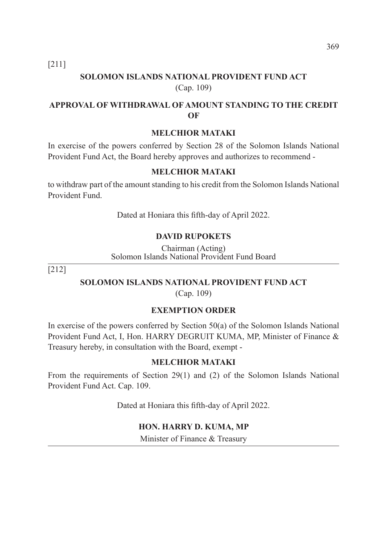[211]

## **SOLOMON ISLANDS NATIONAL PROVIDENT FUND ACT**  (Cap. 109)

## **APPROVAL OF WITHDRAWAL OF AMOUNT STANDING TO THE CREDIT OF**

#### **MELCHIOR MATAKI**

In exercise of the powers conferred by Section 28 of the Solomon Islands National Provident Fund Act, the Board hereby approves and authorizes to recommend -

#### **MELCHIOR MATAKI**

to withdraw part of the amount standing to his credit from the Solomon Islands National Provident Fund.

Dated at Honiara this fifth-day of April 2022.

#### **DAVID RUPOKETS**

Chairman (Acting) Solomon Islands National Provident Fund Board

[212]

#### **SOLOMON ISLANDS NATIONAL PROVIDENT FUND ACT**

(Cap. 109)

#### **EXEMPTION ORDER**

In exercise of the powers conferred by Section 50(a) of the Solomon Islands National Provident Fund Act, I, Hon. HARRY DEGRUIT KUMA, MP, Minister of Finance & Treasury hereby, in consultation with the Board, exempt -

#### **MELCHIOR MATAKI**

From the requirements of Section 29(1) and (2) of the Solomon Islands National Provident Fund Act. Cap. 109.

Dated at Honiara this fifth-day of April 2022.

#### **HON. HARRY D. KUMA, MP**

Minister of Finance & Treasury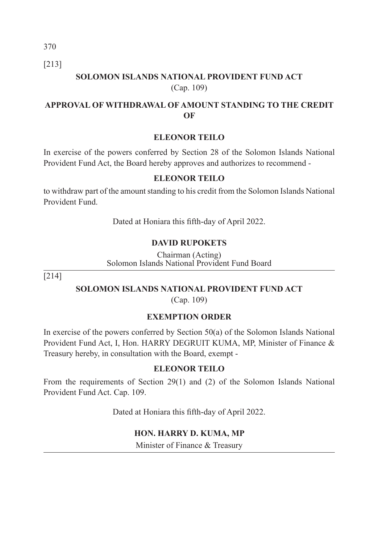370

[213]

## **SOLOMON ISLANDS NATIONAL PROVIDENT FUND ACT**  (Cap. 109)

## **APPROVAL OF WITHDRAWAL OF AMOUNT STANDING TO THE CREDIT OF**

## **ELEONOR TEILO**

In exercise of the powers conferred by Section 28 of the Solomon Islands National Provident Fund Act, the Board hereby approves and authorizes to recommend -

#### **ELEONOR TEILO**

to withdraw part of the amount standing to his credit from the Solomon Islands National Provident Fund.

Dated at Honiara this fifth-day of April 2022.

## **DAVID RUPOKETS**

Chairman (Acting) Solomon Islands National Provident Fund Board

[214]

#### **SOLOMON ISLANDS NATIONAL PROVIDENT FUND ACT**

(Cap. 109)

## **EXEMPTION ORDER**

In exercise of the powers conferred by Section 50(a) of the Solomon Islands National Provident Fund Act, I, Hon. HARRY DEGRUIT KUMA, MP, Minister of Finance & Treasury hereby, in consultation with the Board, exempt -

#### **ELEONOR TEILO**

From the requirements of Section 29(1) and (2) of the Solomon Islands National Provident Fund Act. Cap. 109.

Dated at Honiara this fifth-day of April 2022.

#### **HON. HARRY D. KUMA, MP**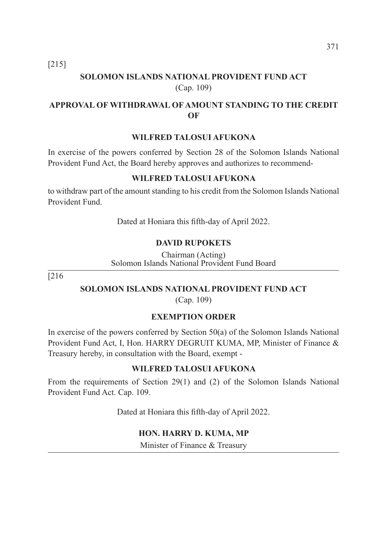[215]

## **SOLOMON ISLANDS NATIONAL PROVIDENT FUND ACT**  (Cap. 109)

## **APPROVAL OF WITHDRAWAL OF AMOUNT STANDING TO THE CREDIT OF**

#### **WILFRED TALOSUI AFUKONA**

In exercise of the powers conferred by Section 28 of the Solomon Islands National Provident Fund Act, the Board hereby approves and authorizes to recommend-

#### **WILFRED TALOSUI AFUKONA**

to withdraw part of the amount standing to his credit from the Solomon Islands National Provident Fund.

Dated at Honiara this fifth-day of April 2022.

#### **DAVID RUPOKETS**

Chairman (Acting) Solomon Islands National Provident Fund Board

[216

#### **SOLOMON ISLANDS NATIONAL PROVIDENT FUND ACT**

(Cap. 109)

#### **EXEMPTION ORDER**

In exercise of the powers conferred by Section 50(a) of the Solomon Islands National Provident Fund Act, I, Hon. HARRY DEGRUIT KUMA, MP, Minister of Finance & Treasury hereby, in consultation with the Board, exempt -

#### **WILFRED TALOSUI AFUKONA**

From the requirements of Section 29(1) and (2) of the Solomon Islands National Provident Fund Act. Cap. 109.

Dated at Honiara this fifth-day of April 2022.

#### **HON. HARRY D. KUMA, MP**

Minister of Finance & Treasury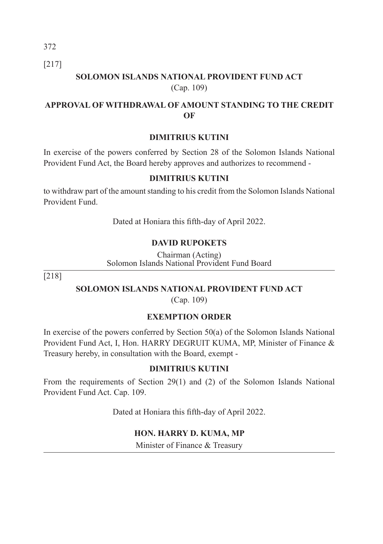[217]

## **SOLOMON ISLANDS NATIONAL PROVIDENT FUND ACT**  (Cap. 109)

## **APPROVAL OF WITHDRAWAL OF AMOUNT STANDING TO THE CREDIT OF**

## **DIMITRIUS KUTINI**

In exercise of the powers conferred by Section 28 of the Solomon Islands National Provident Fund Act, the Board hereby approves and authorizes to recommend -

## **DIMITRIUS KUTINI**

to withdraw part of the amount standing to his credit from the Solomon Islands National Provident Fund.

Dated at Honiara this fifth-day of April 2022.

## **DAVID RUPOKETS**

Chairman (Acting) Solomon Islands National Provident Fund Board

[218]

## **SOLOMON ISLANDS NATIONAL PROVIDENT FUND ACT**

(Cap. 109)

## **EXEMPTION ORDER**

In exercise of the powers conferred by Section 50(a) of the Solomon Islands National Provident Fund Act, I, Hon. HARRY DEGRUIT KUMA, MP, Minister of Finance & Treasury hereby, in consultation with the Board, exempt -

#### **DIMITRIUS KUTINI**

From the requirements of Section 29(1) and (2) of the Solomon Islands National Provident Fund Act. Cap. 109.

Dated at Honiara this fifth-day of April 2022.

#### **HON. HARRY D. KUMA, MP**

Minister of Finance & Treasury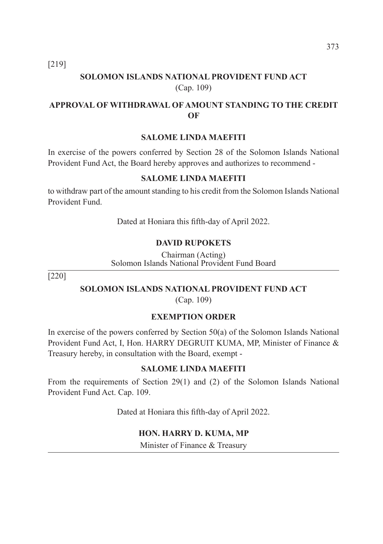[219]

## **SOLOMON ISLANDS NATIONAL PROVIDENT FUND ACT**  (Cap. 109)

## **APPROVAL OF WITHDRAWAL OF AMOUNT STANDING TO THE CREDIT OF**

#### **SALOME LINDA MAEFITI**

In exercise of the powers conferred by Section 28 of the Solomon Islands National Provident Fund Act, the Board hereby approves and authorizes to recommend -

#### **SALOME LINDA MAEFITI**

to withdraw part of the amount standing to his credit from the Solomon Islands National Provident Fund.

Dated at Honiara this fifth-day of April 2022.

#### **DAVID RUPOKETS**

Chairman (Acting) Solomon Islands National Provident Fund Board

[220]

#### **SOLOMON ISLANDS NATIONAL PROVIDENT FUND ACT**

(Cap. 109)

#### **EXEMPTION ORDER**

In exercise of the powers conferred by Section 50(a) of the Solomon Islands National Provident Fund Act, I, Hon. HARRY DEGRUIT KUMA, MP, Minister of Finance & Treasury hereby, in consultation with the Board, exempt -

#### **SALOME LINDA MAEFITI**

From the requirements of Section 29(1) and (2) of the Solomon Islands National Provident Fund Act. Cap. 109.

Dated at Honiara this fifth-day of April 2022.

#### **HON. HARRY D. KUMA, MP**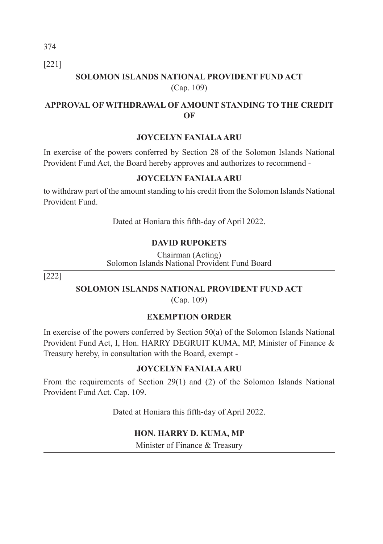374 [221]

## **SOLOMON ISLANDS NATIONAL PROVIDENT FUND ACT**  (Cap. 109)

## **APPROVAL OF WITHDRAWAL OF AMOUNT STANDING TO THE CREDIT OF**

## **JOYCELYN FANIALA ARU**

In exercise of the powers conferred by Section 28 of the Solomon Islands National Provident Fund Act, the Board hereby approves and authorizes to recommend -

#### **JOYCELYN FANIALA ARU**

to withdraw part of the amount standing to his credit from the Solomon Islands National Provident Fund.

Dated at Honiara this fifth-day of April 2022.

#### **DAVID RUPOKETS**

Chairman (Acting) Solomon Islands National Provident Fund Board

[222]

#### **SOLOMON ISLANDS NATIONAL PROVIDENT FUND ACT**

(Cap. 109)

## **EXEMPTION ORDER**

In exercise of the powers conferred by Section 50(a) of the Solomon Islands National Provident Fund Act, I, Hon. HARRY DEGRUIT KUMA, MP, Minister of Finance & Treasury hereby, in consultation with the Board, exempt -

#### **JOYCELYN FANIALA ARU**

From the requirements of Section 29(1) and (2) of the Solomon Islands National Provident Fund Act. Cap. 109.

Dated at Honiara this fifth-day of April 2022.

#### **HON. HARRY D. KUMA, MP**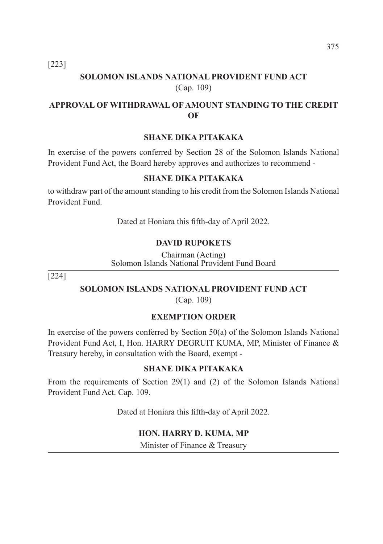[223]

## **SOLOMON ISLANDS NATIONAL PROVIDENT FUND ACT**  (Cap. 109)

## **APPROVAL OF WITHDRAWAL OF AMOUNT STANDING TO THE CREDIT OF**

#### **SHANE DIKA PITAKAKA**

In exercise of the powers conferred by Section 28 of the Solomon Islands National Provident Fund Act, the Board hereby approves and authorizes to recommend -

#### **SHANE DIKA PITAKAKA**

to withdraw part of the amount standing to his credit from the Solomon Islands National Provident Fund.

Dated at Honiara this fifth-day of April 2022.

#### **DAVID RUPOKETS**

Chairman (Acting) Solomon Islands National Provident Fund Board

[224]

#### **SOLOMON ISLANDS NATIONAL PROVIDENT FUND ACT**

(Cap. 109)

#### **EXEMPTION ORDER**

In exercise of the powers conferred by Section 50(a) of the Solomon Islands National Provident Fund Act, I, Hon. HARRY DEGRUIT KUMA, MP, Minister of Finance & Treasury hereby, in consultation with the Board, exempt -

#### **SHANE DIKA PITAKAKA**

From the requirements of Section 29(1) and (2) of the Solomon Islands National Provident Fund Act. Cap. 109.

Dated at Honiara this fifth-day of April 2022.

#### **HON. HARRY D. KUMA, MP**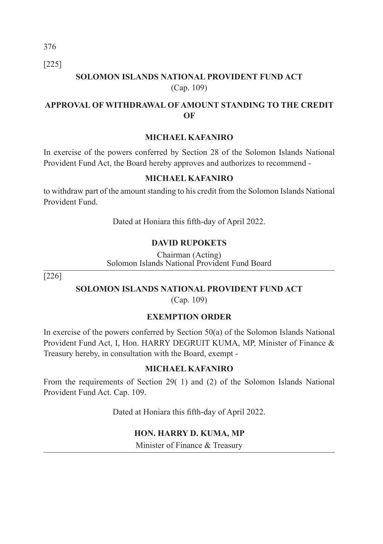[225]

## **SOLOMON ISLANDS NATIONAL PROVIDENT FUND ACT**  (Cap. 109)

## **APPROVAL OF WITHDRAWAL OF AMOUNT STANDING TO THE CREDIT OF**

#### **MICHAEL KAFANIRO**

In exercise of the powers conferred by Section 28 of the Solomon Islands National Provident Fund Act, the Board hereby approves and authorizes to recommend -

#### **MICHAEL KAFANIRO**

to withdraw part of the amount standing to his credit from the Solomon Islands National Provident Fund.

Dated at Honiara this fifth-day of April 2022.

#### **DAVID RUPOKETS**

Chairman (Acting) Solomon Islands National Provident Fund Board

[226]

#### **SOLOMON ISLANDS NATIONAL PROVIDENT FUND ACT**

(Cap. 109)

#### **EXEMPTION ORDER**

In exercise of the powers conferred by Section 50(a) of the Solomon Islands National Provident Fund Act, I, Hon. HARRY DEGRUIT KUMA, MP, Minister of Finance & Treasury hereby, in consultation with the Board, exempt -

#### **MICHAEL KAFANIRO**

From the requirements of Section 29( 1) and (2) of the Solomon Islands National Provident Fund Act. Cap. 109.

Dated at Honiara this fifth-day of April 2022.

#### **HON. HARRY D. KUMA, MP**

Minister of Finance & Treasury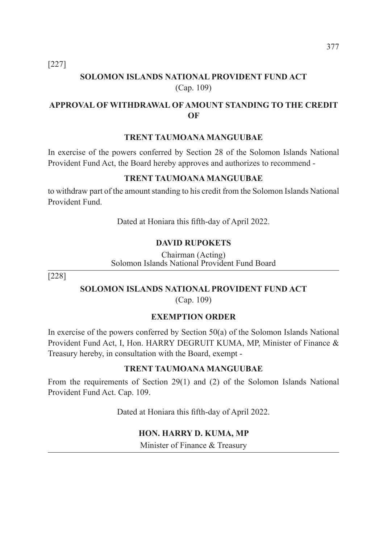[227]

## **SOLOMON ISLANDS NATIONAL PROVIDENT FUND ACT**  (Cap. 109)

## **APPROVAL OF WITHDRAWAL OF AMOUNT STANDING TO THE CREDIT OF**

#### **TRENT TAUMOANA MANGUUBAE**

In exercise of the powers conferred by Section 28 of the Solomon Islands National Provident Fund Act, the Board hereby approves and authorizes to recommend -

#### **TRENT TAUMOANA MANGUUBAE**

to withdraw part of the amount standing to his credit from the Solomon Islands National Provident Fund.

Dated at Honiara this fifth-day of April 2022.

#### **DAVID RUPOKETS**

Chairman (Acting) Solomon Islands National Provident Fund Board

[228]

#### **SOLOMON ISLANDS NATIONAL PROVIDENT FUND ACT**

(Cap. 109)

#### **EXEMPTION ORDER**

In exercise of the powers conferred by Section 50(a) of the Solomon Islands National Provident Fund Act, I, Hon. HARRY DEGRUIT KUMA, MP, Minister of Finance & Treasury hereby, in consultation with the Board, exempt -

#### **TRENT TAUMOANA MANGUUBAE**

From the requirements of Section 29(1) and (2) of the Solomon Islands National Provident Fund Act. Cap. 109.

Dated at Honiara this fifth-day of April 2022.

#### **HON. HARRY D. KUMA, MP**

Minister of Finance & Treasury